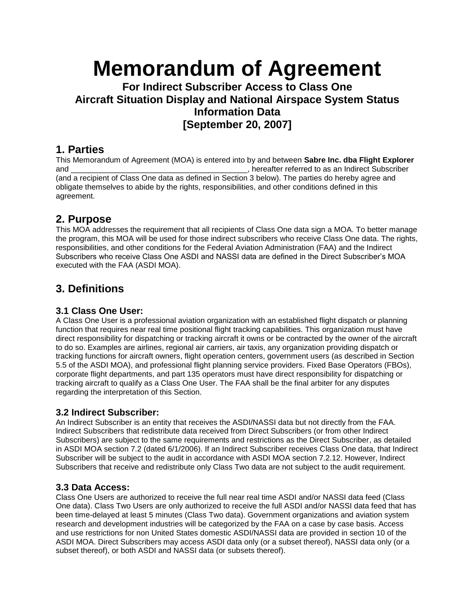# **Memorandum of Agreement**

## **For Indirect Subscriber Access to Class One Aircraft Situation Display and National Airspace System Status Information Data [September 20, 2007]**

### **1. Parties**

This Memorandum of Agreement (MOA) is entered into by and between **Sabre Inc. dba Flight Explorer**  and \_\_\_\_\_\_\_\_\_\_\_\_\_\_\_\_\_\_\_\_\_\_\_\_\_\_\_\_\_\_\_\_\_\_\_\_\_\_\_\_\_, hereafter referred to as an Indirect Subscriber (and a recipient of Class One data as defined in Section 3 below). The parties do hereby agree and obligate themselves to abide by the rights, responsibilities, and other conditions defined in this agreement.

## **2. Purpose**

This MOA addresses the requirement that all recipients of Class One data sign a MOA. To better manage the program, this MOA will be used for those indirect subscribers who receive Class One data. The rights, responsibilities, and other conditions for the Federal Aviation Administration (FAA) and the Indirect Subscribers who receive Class One ASDI and NASSI data are defined in the Direct Subscriber's MOA executed with the FAA (ASDI MOA).

## **3. Definitions**

#### **3.1 Class One User:**

A Class One User is a professional aviation organization with an established flight dispatch or planning function that requires near real time positional flight tracking capabilities. This organization must have direct responsibility for dispatching or tracking aircraft it owns or be contracted by the owner of the aircraft to do so. Examples are airlines, regional air carriers, air taxis, any organization providing dispatch or tracking functions for aircraft owners, flight operation centers, government users (as described in Section 5.5 of the ASDI MOA), and professional flight planning service providers. Fixed Base Operators (FBOs), corporate flight departments, and part 135 operators must have direct responsibility for dispatching or tracking aircraft to qualify as a Class One User. The FAA shall be the final arbiter for any disputes regarding the interpretation of this Section.

#### **3.2 Indirect Subscriber:**

An Indirect Subscriber is an entity that receives the ASDI/NASSI data but not directly from the FAA. Indirect Subscribers that redistribute data received from Direct Subscribers (or from other Indirect Subscribers) are subject to the same requirements and restrictions as the Direct Subscriber, as detailed in ASDI MOA section 7.2 (dated 6/1/2006). If an Indirect Subscriber receives Class One data, that Indirect Subscriber will be subject to the audit in accordance with ASDI MOA section 7.2.12. However, Indirect Subscribers that receive and redistribute only Class Two data are not subject to the audit requirement.

#### **3.3 Data Access:**

Class One Users are authorized to receive the full near real time ASDI and/or NASSI data feed (Class One data). Class Two Users are only authorized to receive the full ASDI and/or NASSI data feed that has been time-delayed at least 5 minutes (Class Two data). Government organizations and aviation system research and development industries will be categorized by the FAA on a case by case basis. Access and use restrictions for non United States domestic ASDI/NASSI data are provided in section 10 of the ASDI MOA. Direct Subscribers may access ASDI data only (or a subset thereof), NASSI data only (or a subset thereof), or both ASDI and NASSI data (or subsets thereof).